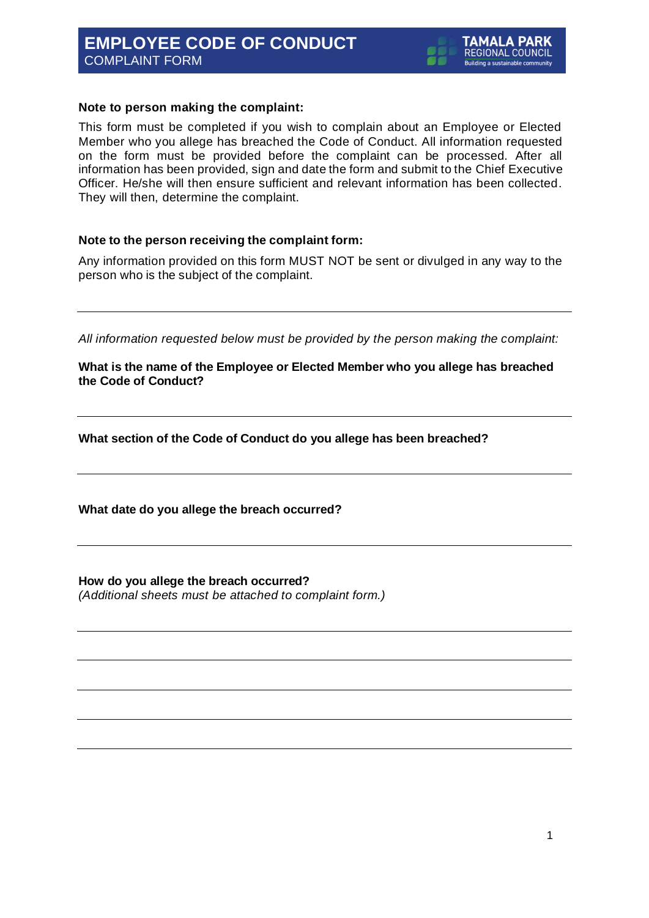# **EMPLOYEE CODE OF CONDUCT** COMPLAINT FORM

## **Note to person making the complaint:**

This form must be completed if you wish to complain about an Employee or Elected Member who you allege has breached the Code of Conduct. All information requested on the form must be provided before the complaint can be processed. After all information has been provided, sign and date the form and submit to the Chief Executive Officer. He/she will then ensure sufficient and relevant information has been collected. They will then, determine the complaint.

## **Note to the person receiving the complaint form:**

Any information provided on this form MUST NOT be sent or divulged in any way to the person who is the subject of the complaint.

*All information requested below must be provided by the person making the complaint:*

**What is the name of the Employee or Elected Member who you allege has breached the Code of Conduct?**

**What section of the Code of Conduct do you allege has been breached?**

**What date do you allege the breach occurred?**

**How do you allege the breach occurred?** *(Additional sheets must be attached to complaint form.)*